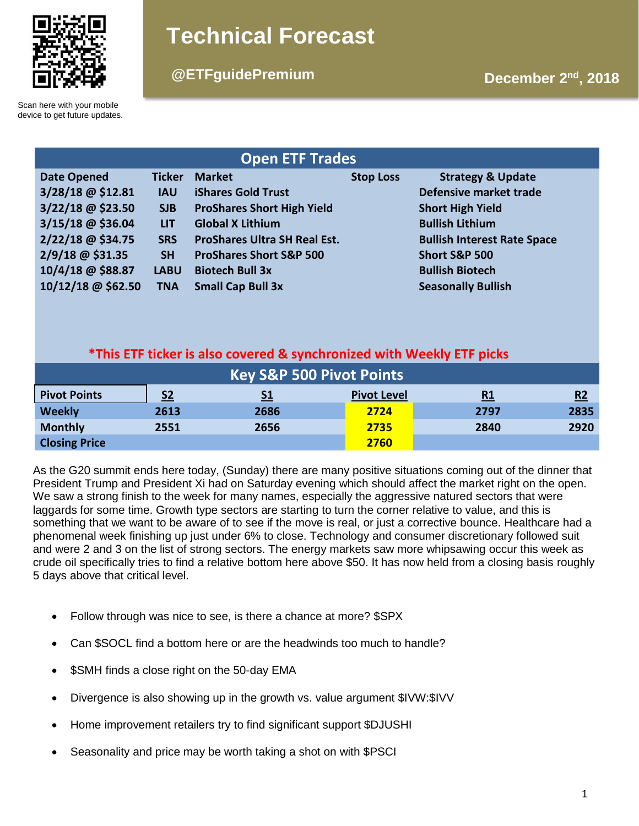

# **Technical Forecast**

# **December 2nd @ETFguidePremium , 2018**

Scan here with your mobile device to get future updates.

| <b>Open ETF Trades</b> |               |                                     |                  |                                    |  |  |  |  |
|------------------------|---------------|-------------------------------------|------------------|------------------------------------|--|--|--|--|
| <b>Date Opened</b>     | <b>Ticker</b> | <b>Market</b>                       | <b>Stop Loss</b> | <b>Strategy &amp; Update</b>       |  |  |  |  |
| 3/28/18 @ \$12.81      | <b>IAU</b>    | <b>iShares Gold Trust</b>           |                  | Defensive market trade             |  |  |  |  |
| 3/22/18 @ \$23.50      | <b>SJB</b>    | <b>ProShares Short High Yield</b>   |                  | <b>Short High Yield</b>            |  |  |  |  |
| 3/15/18 @ \$36.04      | <b>LIT</b>    | <b>Global X Lithium</b>             |                  | <b>Bullish Lithium</b>             |  |  |  |  |
| 2/22/18 @ \$34.75      | <b>SRS</b>    | <b>ProShares Ultra SH Real Est.</b> |                  | <b>Bullish Interest Rate Space</b> |  |  |  |  |
| 2/9/18 @ \$31.35       | <b>SH</b>     | <b>ProShares Short S&amp;P 500</b>  |                  | <b>Short S&amp;P 500</b>           |  |  |  |  |
| 10/4/18 @ \$88.87      | <b>LABU</b>   | <b>Biotech Bull 3x</b>              |                  | <b>Bullish Biotech</b>             |  |  |  |  |
| 10/12/18 @ \$62.50     | <b>TNA</b>    | <b>Small Cap Bull 3x</b>            |                  | <b>Seasonally Bullish</b>          |  |  |  |  |

# **\*This ETF ticker is also covered & synchronized with Weekly ETF picks**

| <b>Key S&amp;P 500 Pivot Points</b> |                |           |                    |           |      |  |  |  |
|-------------------------------------|----------------|-----------|--------------------|-----------|------|--|--|--|
| <b>Pivot Points</b>                 | S <sub>2</sub> | <u>S1</u> | <b>Pivot Level</b> | <u>R1</u> | R2   |  |  |  |
| <b>Weekly</b>                       | 2613           | 2686      | 2724               | 2797      | 2835 |  |  |  |
| <b>Monthly</b>                      | 2551           | 2656      | 2735               | 2840      | 2920 |  |  |  |
| <b>Closing Price</b>                |                |           | 2760               |           |      |  |  |  |

As the G20 summit ends here today, (Sunday) there are many positive situations coming out of the dinner that President Trump and President Xi had on Saturday evening which should affect the market right on the open. We saw a strong finish to the week for many names, especially the aggressive natured sectors that were laggards for some time. Growth type sectors are starting to turn the corner relative to value, and this is something that we want to be aware of to see if the move is real, or just a corrective bounce. Healthcare had a phenomenal week finishing up just under 6% to close. Technology and consumer discretionary followed suit and were 2 and 3 on the list of strong sectors. The energy markets saw more whipsawing occur this week as crude oil specifically tries to find a relative bottom here above \$50. It has now held from a closing basis roughly 5 days above that critical level.

- Follow through was nice to see, is there a chance at more? \$SPX
- Can \$SOCL find a bottom here or are the headwinds too much to handle?
- \$SMH finds a close right on the 50-day EMA
- Divergence is also showing up in the growth vs. value argument \$IVW:\$IVV
- Home improvement retailers try to find significant support \$DJUSHI
- Seasonality and price may be worth taking a shot on with \$PSCI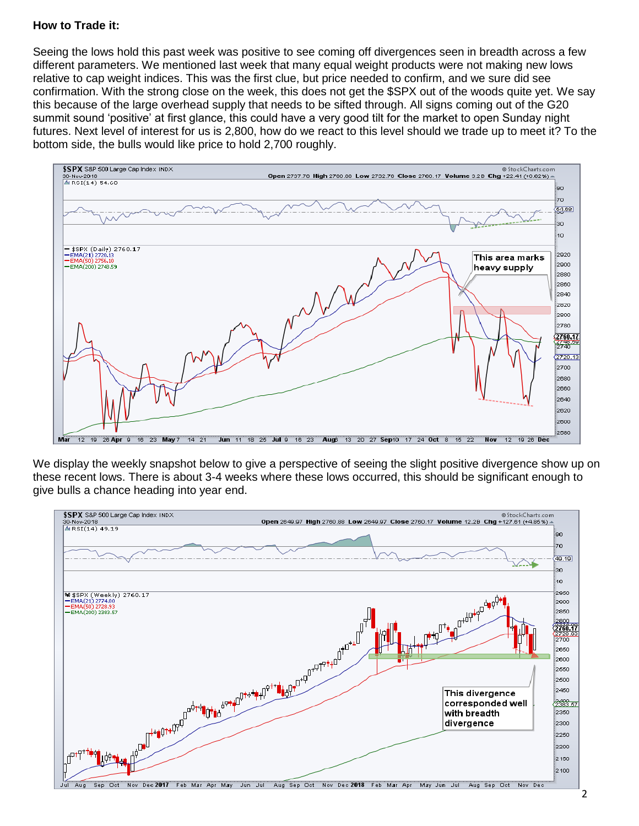### **How to Trade it:**

Seeing the lows hold this past week was positive to see coming off divergences seen in breadth across a few different parameters. We mentioned last week that many equal weight products were not making new lows relative to cap weight indices. This was the first clue, but price needed to confirm, and we sure did see confirmation. With the strong close on the week, this does not get the \$SPX out of the woods quite yet. We say this because of the large overhead supply that needs to be sifted through. All signs coming out of the G20 summit sound 'positive' at first glance, this could have a very good tilt for the market to open Sunday night futures. Next level of interest for us is 2,800, how do we react to this level should we trade up to meet it? To the bottom side, the bulls would like price to hold 2,700 roughly.



We display the weekly snapshot below to give a perspective of seeing the slight positive divergence show up on these recent lows. There is about 3-4 weeks where these lows occurred, this should be significant enough to give bulls a chance heading into year end.

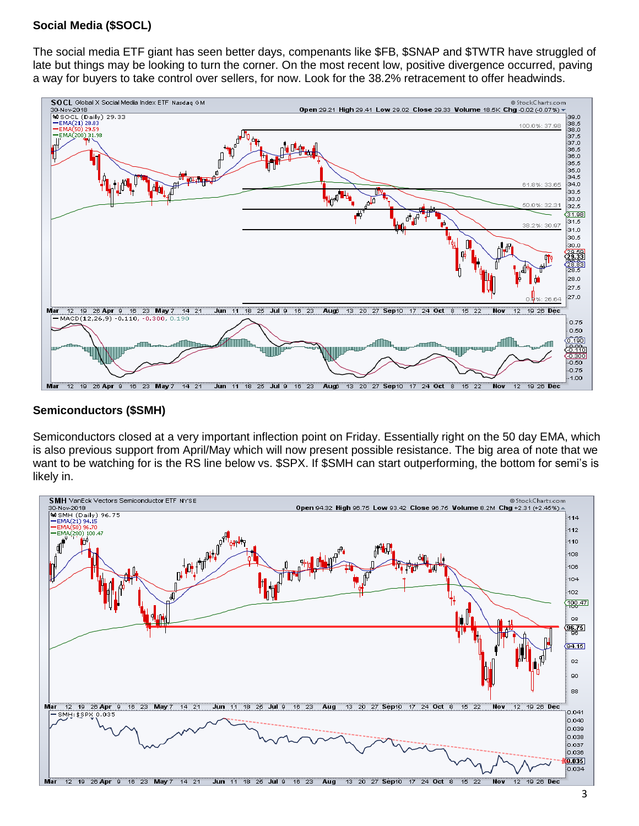## **Social Media (\$SOCL)**

The social media ETF giant has seen better days, compenants like \$FB, \$SNAP and \$TWTR have struggled of late but things may be looking to turn the corner. On the most recent low, positive divergence occurred, paving a way for buyers to take control over sellers, for now. Look for the 38.2% retracement to offer headwinds.



#### **Semiconductors (\$SMH)**

Semiconductors closed at a very important inflection point on Friday. Essentially right on the 50 day EMA, which is also previous support from April/May which will now present possible resistance. The big area of note that we want to be watching for is the RS line below vs. \$SPX. If \$SMH can start outperforming, the bottom for semi's is likely in.

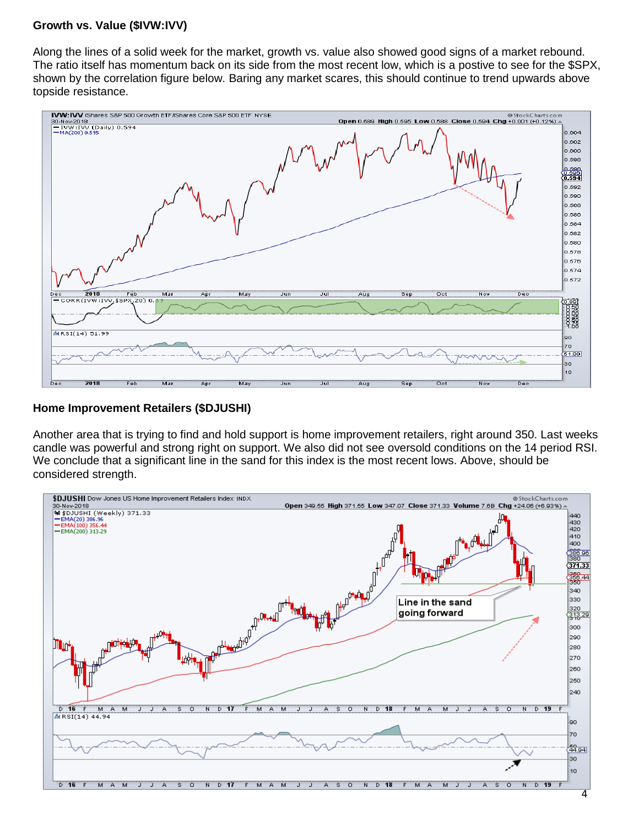#### **Growth vs. Value (\$IVW:IVV)**

Along the lines of a solid week for the market, growth vs. value also showed good signs of a market rebound. The ratio itself has momentum back on its side from the most recent low, which is a postive to see for the \$SPX, shown by the correlation figure below. Baring any market scares, this should continue to trend upwards above topside resistance.



#### **Home Improvement Retailers (\$DJUSHI)**

Another area that is trying to find and hold support is home improvement retailers, right around 350. Last weeks candle was powerful and strong right on support. We also did not see oversold conditions on the 14 period RSI. We conclude that a significant line in the sand for this index is the most recent lows. Above, should be considered strength.